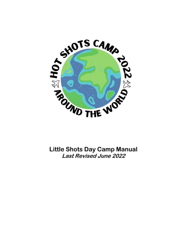

**Little Shots Day Camp Manual Last Revised June 2022**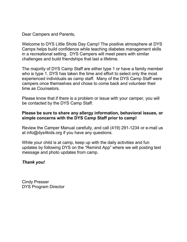Dear Campers and Parents,

Welcome to DYS Little Shots Day Camp! The positive atmosphere at DYS Camps helps build confidence while teaching diabetes management skills in a recreational setting. DYS Campers will meet peers with similar challenges and build friendships that last a lifetime.

The majority of DYS Camp Staff are either type 1 or have a family member who is type 1. DYS has taken the time and effort to select only the most experienced individuals as camp staff. Many of the DYS Camp Staff were campers once themselves and chose to come back and volunteer their time as Counselors.

Please know that if there is a problem or issue with your camper, you will be contacted by the DYS Camp Staff.

## **Please be sure to share any allergy information, behavioral issues, or simple concerns with the DYS Camp Staff prior to camp!**

Review the Camper Manual carefully, and call (419) 291-1234 or e-mail us at info@dys4kids.org if you have any questions.

While your child is at camp, keep up with the daily activities and fun updates by following DYS on the "Remind App" where we will posting text message and photo updates from camp.

# *Thank you!*

Cindy Presser DYS Program Director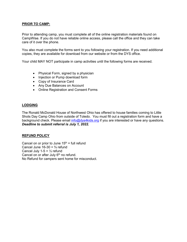### **PRIOR TO CAMP:**

Prior to attending camp, you must complete all of the online registration materials found on CampWise. If you do not have reliable online access, please call the office and they can take care of it over the phone.

You also must complete the forms sent to you following your registration. If you need additional copies, they are available for download from our website or from the DYS office.

Your child MAY NOT participate in camp activities until the following forms are received.

- Physical Form, signed by a physician
- Injection or Pump download form
- Copy of Insurance Card
- Any Due Balances on Account
- Online Registration and Consent Forms

#### **LODGING**

The Ronald McDonald House of Northwest Ohio has offered to house families coming to Little Shots Day Camp Ohio from outside of Toledo. You must fill out a registration form and have a background check. Please email [info@dys4kids.org](mailto:info@dys4kids.org) if you are interested or have any questions. *Deadline to submit referral is July 1, 2022.*

#### **REFUND POLICY**

Cancel on or prior to June  $15<sup>th</sup>$  = full refund Cancel June  $16-30 = \frac{3}{4}$  refund Cancel July 1-5 =  $\frac{1}{2}$  refund Cancel on or after July  $6<sup>th</sup>$  no refund. No Refund for campers sent home for misconduct.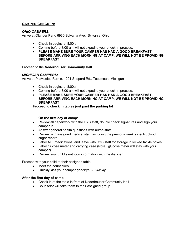### **CAMPER CHECK-IN:**

#### *OHIO CAMPERS:*

Arrive at Olander Park, 6930 Sylvania Ave., Sylvania, Ohio

- Check In begins at 8:00 am.
- Coming before 8:00 am will not expedite your check-in process.
- **PLEASE MAKE SURE YOUR CAMPER HAS HAD A GOOD BREAKFAST BEFORE ARRIVING EACH MORNING AT CAMP, WE WILL NOT BE PROVIDING BREAKFAST**

#### Proceed to the **Nederhouser Community Hall**

#### *MICHIGAN CAMPERS:*

Arrive at ProMedica Farms, 1201 Sheperd Rd., Tecumseh, Michigan

- Check In begins at 8:00am.
- Coming before 8:00 am will not expedite your check-in process.
- **PLEASE MAKE SURE YOUR CAMPER HAS HAD A GOOD BREAKFAST BEFORE ARRIVING EACH MORNING AT CAMP, WE WILL NOT BE PROVIDING BREAKFAST**

Proceed to **check in tables just past the parking lot**

#### **On the first day of camp:**

- Review all paperwork with the DYS staff, double check signatures and sign your camper in.
- Answer general health questions with nurse/staff
- Review with assigned medical staff, including the previous week's insulin/blood sugar record
- Label ALL medications, and leave with DYS staff for storage in locked tackle boxes
- Label glucose meter and carrying case (Note: glucose meter will stay with your camper)
- Review your child's nutrition information with the dietician

Proceed with your child to their assigned table

- Meet the counselors
- Quickly kiss your camper goodbye *Quickly*

#### **After the first day of camp**

- Check in at the table in front of Nederhouser Community Hall
- Counselor will take them to their assigned group.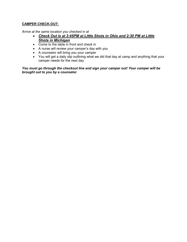## **CAMPER CHECK-OUT:**

*Arrive at the same location you checked in at*

- *Check Out is at 3:45PM at Little Shots in Ohio and 2:30 PM at Little Shots in Michigan*
- Come to the table in front and check in
- A nurse will review your camper's day with you
- A counselor will bring you your camper
- You will get a daily slip outlining what we did that day at camp and anything that your camper needs for the next day

*You must go through the checkout line and sign your camper out! Your camper will be brought out to you by a counselor.*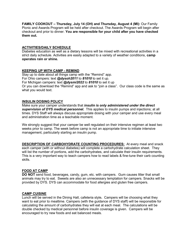**FAMILY COOKOUT – Thursday, July 14 (OH) and Thursday, August 4 (MI):** Our Family Picnic and Awards Program will be held after checkout. The Awards Program will begin after checkout and prior to dinner. **You are responsible for your child after you have checked them out.**

#### **ACTIVITIES/DAILY SCHEDULE**

Diabetes education as well as a dietary lessons will be mixed with recreational activities in a strict daily schedule. Activities are easily adapted to a variety of weather conditions, **camp operates rain or shine.**

#### **KEEPING UP WITH CAMP - REMIND**

Stay up to date about all things camp with the "Remind" app. For Ohio campers: text *@dysoh2011* to *81010* to set it up. For Michigan campers: text *@dysmi2022* to *81010* to set it up Or you can download the "Remind" app and ask to "join a class". Our class code is the same as what you would text.

#### **INSULIN DOSING POLICY**

Make sure your camper understands that *insulin is only administered under the direct supervision of DYS medical personnel.* This applies to insulin pumps and injections; at all times. DYS Staff will always discuss appropriate dosing with your camper and use every meal and administration time as a teachable moment.

We strongly suggest that your camper be well regulated on their intensive regimen at least two weeks prior to camp. The week before camp is not an appropriate time to initiate intensive management, particularly starting an insulin pump.

**DESCRIPTION OF CARBOHYDRATE COUNTING PROCEDURES:** At every meal and snack each camper (with or without diabetes) will complete a carbohydrate calculation sheet. They will list the number of portions, add the carbohydrates, and calculate their insulin requirements. This is a very important way to teach campers how to read labels & fine-tune their carb counting skills.

#### **FOOD AT CAMP**

**DO NOT** send food, beverages, candy, gum, etc. with campers. Gum causes litter that small animals may try to eat. Sweets are also an unnecessary temptation for campers. Snacks will be provided by DYS. DYS can accommodate for food allergies and gluten free campers.

#### **CAMP CUISINE**

Lunch will be served in the Dining Hall, cafeteria style**.** Campers will be choosing what they want to eat prior to mealtime. Campers (with the guidance of DYS staff) will be responsible for calculating the amount of carbohydrates they will eat at each meal. The calculations will be double checked by medical personnel before insulin coverage is given. Campers will be encouraged to try new foods and eat balanced meals.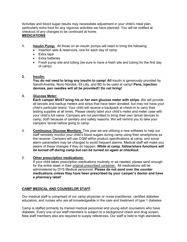Activities and blood sugar results may necessitate adjustment in your child's meal plan, particularly extra food for any vigorous activities we have planned. You will be notified at checkout of any changes to be continued at home. **MEDICATIONS**

### **1. Insulin Pump:** All those on an insulin pumps will need to bring the following:

- Insertion sets & reservoirs, one for each day of camp
- Extra tape
- Extra batteries
- Fresh pump site and tubing (be sure to have a fresh site and tubing for the first day of camp)

#### **2. Insulin:**

You do not need to bring any insulin to camp! All insulin is generously provided by Sanofi-Aventis, Novo Nordisk, Eli Lilly, and BD to be used at camp! **Pens, injection devices, pen needles will all be provided!! Do not bring!**

#### **3. Glucose Meter:**

**Each camper** *MUST* **bring his or her own glucose meter with strips**. We will provide all lancets and backup meters and strips that have been donated, but may not have your child's particular brand. Your child will receive a backpack at check-in to carry their testing supplies at all times. Please clearly label your child's meter and meter case with your child's full name. Campers are not permitted to bring their own lancet devices to camp, both because of sanitary and safety reasons. We will remind you to take your campers' lancet before going to camp.

4. **Continuous Glucose Monitors**: This year we are utilizing a new software to help our staff remotely monitor your child's blood sugars during camp using their smartphone as the receiver. Campers will use CGM within product specifications at camp, and some alarm parameters may be changed to avoid frequent alarms. Medical staff will make you aware of these changes if they do happen. *While at camp, follow/share functions will be turned off during camp but can be turned on again at checkout.*

#### 5. **Other prescription medications**:

If your child takes prescription medications routinely or as needed, please send enough for the entire week in their original prescribed container. All medications will be administered by DYS Medical personnel. **Please do not send over the counter medications unless they have been prescribed by your camper's doctor and have a pharmacy label!**

#### **CAMP MEDICAL AND COUNSELOR STAFF**

Our medical staff is comprised of our camp physician or nurse practitioner, certified diabetes educators, and nurses who are all knowledgeable in the care and treatment of type 1 diabetes.

Camp is staffed primarily by trained medical personnel and young adult counselors who have diabetes. Every one of our staff members is subject to a background check and drug screen. New staff members also are required to supply references. Our staff is held to high standards.